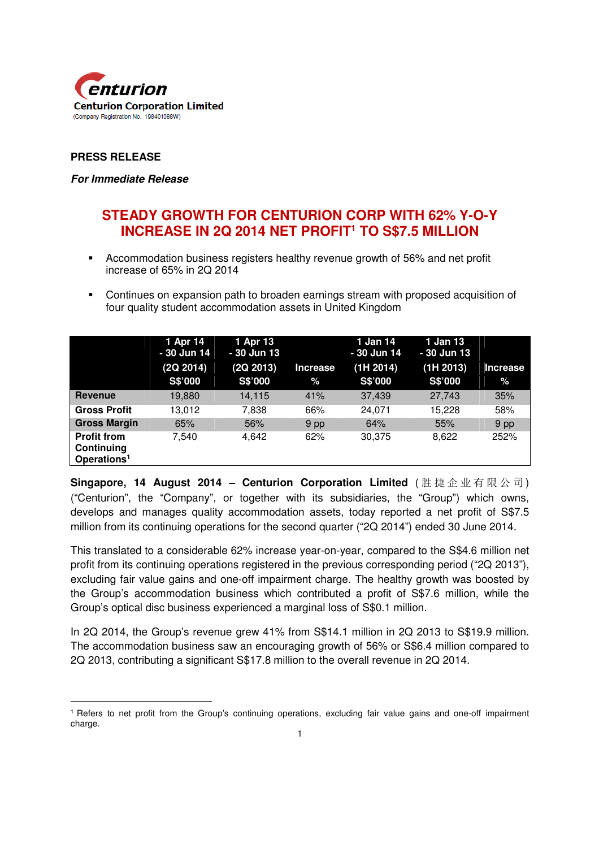

# **PRESS RELEASE**

 $\overline{a}$ 

#### **For Immediate Release**

# **STEADY GROWTH FOR CENTURION CORP WITH 62% Y-O-Y INCREASE IN 2Q 2014 NET PROFIT<sup>1</sup> TO S\$7.5 MILLION**

- Accommodation business registers healthy revenue growth of 56% and net profit increase of 65% in 2Q 2014
- Continues on expansion path to broaden earnings stream with proposed acquisition of four quality student accommodation assets in United Kingdom

|                                                             | 1 Apr 14<br>- 30 Jun 14<br>(2Q 2014) | 1 Apr 13<br>- 30 Jun 13<br>(2Q 2013) | <b>Increase</b> | $1$ Jan $14$<br>- 30 Jun 14<br>(1H 2014) | 1 Jan 13<br>- 30 Jun 13<br>(1H 2013) | <b>Increase</b> |
|-------------------------------------------------------------|--------------------------------------|--------------------------------------|-----------------|------------------------------------------|--------------------------------------|-----------------|
|                                                             | S\$'000                              | S\$'000                              | %               | S\$'000                                  | S\$'000                              | $\%$            |
| <b>Revenue</b>                                              | 19,880                               | 14,115                               | 41%             | 37,439                                   | 27,743                               | 35%             |
| <b>Gross Profit</b>                                         | 13.012                               | 7,838                                | 66%             | 24.071                                   | 15.228                               | 58%             |
| <b>Gross Margin</b>                                         | 65%                                  | 56%                                  | 9 pp            | 64%                                      | 55%                                  | 9 pp            |
| <b>Profit from</b><br>Continuing<br>Operations <sup>1</sup> | 7.540                                | 4,642                                | 62%             | 30,375                                   | 8,622                                | 252%            |

**Singapore, 14 August 2014 – Centurion Corporation Limited** ( 胜 捷 企 业 有 限 公 司 ) ("Centurion", the "Company", or together with its subsidiaries, the "Group") which owns, develops and manages quality accommodation assets, today reported a net profit of S\$7.5 million from its continuing operations for the second quarter ("2Q 2014") ended 30 June 2014.

This translated to a considerable 62% increase year-on-year, compared to the S\$4.6 million net profit from its continuing operations registered in the previous corresponding period ("2Q 2013"), excluding fair value gains and one-off impairment charge. The healthy growth was boosted by the Group's accommodation business which contributed a profit of S\$7.6 million, while the Group's optical disc business experienced a marginal loss of S\$0.1 million.

In 2Q 2014, the Group's revenue grew 41% from S\$14.1 million in 2Q 2013 to S\$19.9 million. The accommodation business saw an encouraging growth of 56% or S\$6.4 million compared to 2Q 2013, contributing a significant S\$17.8 million to the overall revenue in 2Q 2014.

<sup>1</sup> Refers to net profit from the Group's continuing operations, excluding fair value gains and one-off impairment charge.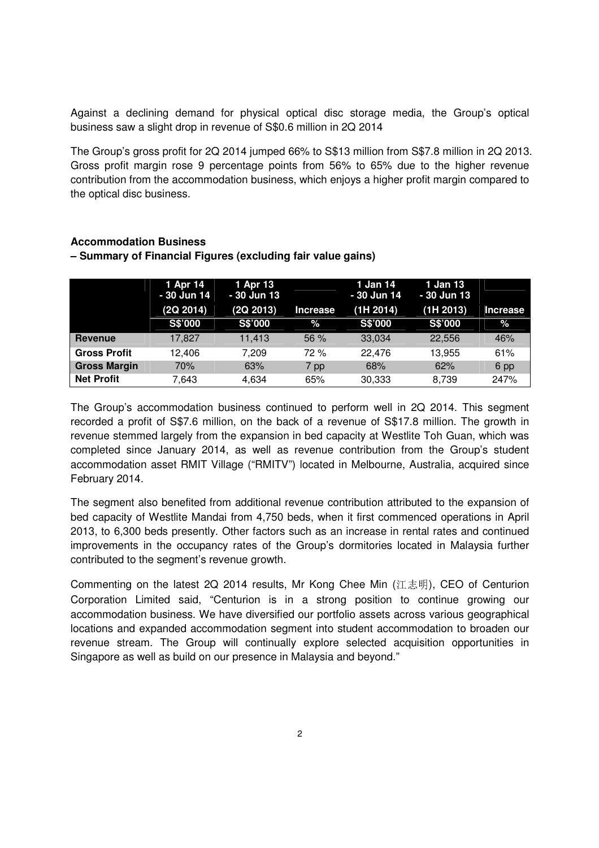Against a declining demand for physical optical disc storage media, the Group's optical business saw a slight drop in revenue of S\$0.6 million in 2Q 2014

The Group's gross profit for 2Q 2014 jumped 66% to S\$13 million from S\$7.8 million in 2Q 2013. Gross profit margin rose 9 percentage points from 56% to 65% due to the higher revenue contribution from the accommodation business, which enjoys a higher profit margin compared to the optical disc business.

### **Accommodation Business**

|                     | 1 Apr 14<br>- 30 Jun 14<br>(2Q 2014) | 1 Apr 13<br>- 30 Jun 13<br>(2Q 2013) | <b>Increase</b> | 1 Jan 14<br>- 30 Jun 14<br>(1H 2014) | 1 Jan 13<br>$-30$ Jun 13<br>(1H 2013) | Increase |
|---------------------|--------------------------------------|--------------------------------------|-----------------|--------------------------------------|---------------------------------------|----------|
|                     | S\$'000                              | S\$'000                              | %               | <b>S\$'000</b>                       | <b>S\$'000</b>                        | %        |
| <b>Revenue</b>      | 17.827                               | 11.413                               | 56%             | 33,034                               | 22.556                                | 46%      |
| <b>Gross Profit</b> | 12.406                               | 7.209                                | 72 %            | 22.476                               | 13,955                                | 61%      |
| <b>Gross Margin</b> | 70%                                  | 63%                                  | 7 pp            | 68%                                  | 62%                                   | 6 pp     |
| <b>Net Profit</b>   | 7.643                                | 4.634                                | 65%             | 30.333                               | 8.739                                 | 247%     |

# **– Summary of Financial Figures (excluding fair value gains)**

The Group's accommodation business continued to perform well in 2Q 2014. This segment recorded a profit of S\$7.6 million, on the back of a revenue of S\$17.8 million. The growth in revenue stemmed largely from the expansion in bed capacity at Westlite Toh Guan, which was completed since January 2014, as well as revenue contribution from the Group's student accommodation asset RMIT Village ("RMITV") located in Melbourne, Australia, acquired since February 2014.

The segment also benefited from additional revenue contribution attributed to the expansion of bed capacity of Westlite Mandai from 4,750 beds, when it first commenced operations in April 2013, to 6,300 beds presently. Other factors such as an increase in rental rates and continued improvements in the occupancy rates of the Group's dormitories located in Malaysia further contributed to the segment's revenue growth.

Commenting on the latest 2Q 2014 results, Mr Kong Chee Min (江志明), CEO of Centurion Corporation Limited said, "Centurion is in a strong position to continue growing our accommodation business. We have diversified our portfolio assets across various geographical locations and expanded accommodation segment into student accommodation to broaden our revenue stream. The Group will continually explore selected acquisition opportunities in Singapore as well as build on our presence in Malaysia and beyond."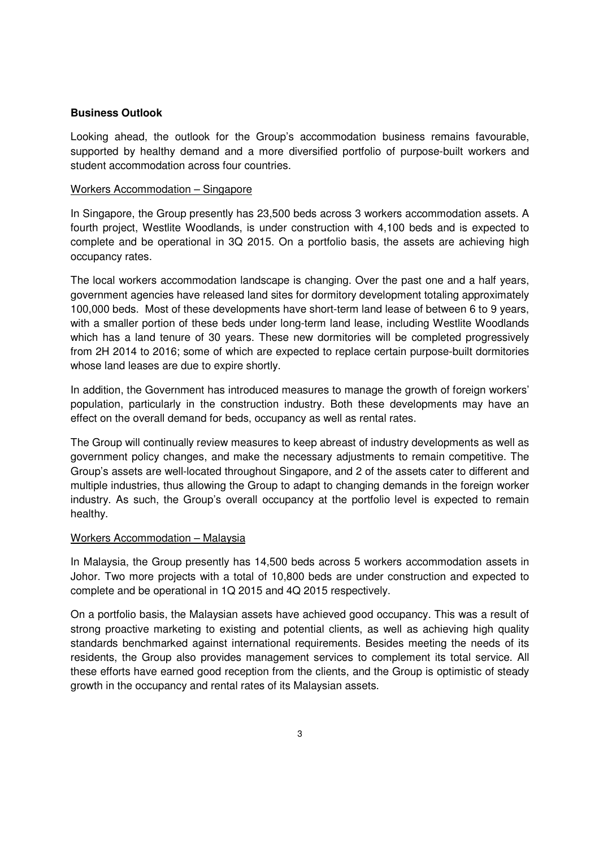### **Business Outlook**

Looking ahead, the outlook for the Group's accommodation business remains favourable, supported by healthy demand and a more diversified portfolio of purpose-built workers and student accommodation across four countries.

#### Workers Accommodation – Singapore

In Singapore, the Group presently has 23,500 beds across 3 workers accommodation assets. A fourth project, Westlite Woodlands, is under construction with 4,100 beds and is expected to complete and be operational in 3Q 2015. On a portfolio basis, the assets are achieving high occupancy rates.

The local workers accommodation landscape is changing. Over the past one and a half years, government agencies have released land sites for dormitory development totaling approximately 100,000 beds. Most of these developments have short-term land lease of between 6 to 9 years, with a smaller portion of these beds under long-term land lease, including Westlite Woodlands which has a land tenure of 30 years. These new dormitories will be completed progressively from 2H 2014 to 2016; some of which are expected to replace certain purpose-built dormitories whose land leases are due to expire shortly.

In addition, the Government has introduced measures to manage the growth of foreign workers' population, particularly in the construction industry. Both these developments may have an effect on the overall demand for beds, occupancy as well as rental rates.

The Group will continually review measures to keep abreast of industry developments as well as government policy changes, and make the necessary adjustments to remain competitive. The Group's assets are well-located throughout Singapore, and 2 of the assets cater to different and multiple industries, thus allowing the Group to adapt to changing demands in the foreign worker industry. As such, the Group's overall occupancy at the portfolio level is expected to remain healthy.

#### Workers Accommodation – Malaysia

In Malaysia, the Group presently has 14,500 beds across 5 workers accommodation assets in Johor. Two more projects with a total of 10,800 beds are under construction and expected to complete and be operational in 1Q 2015 and 4Q 2015 respectively.

On a portfolio basis, the Malaysian assets have achieved good occupancy. This was a result of strong proactive marketing to existing and potential clients, as well as achieving high quality standards benchmarked against international requirements. Besides meeting the needs of its residents, the Group also provides management services to complement its total service. All these efforts have earned good reception from the clients, and the Group is optimistic of steady growth in the occupancy and rental rates of its Malaysian assets.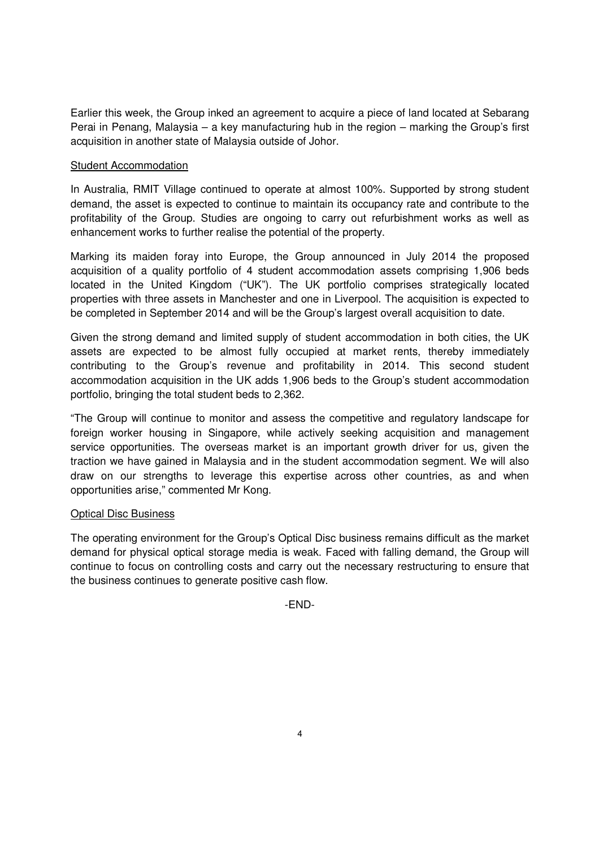Earlier this week, the Group inked an agreement to acquire a piece of land located at Sebarang Perai in Penang, Malaysia – a key manufacturing hub in the region – marking the Group's first acquisition in another state of Malaysia outside of Johor.

### Student Accommodation

In Australia, RMIT Village continued to operate at almost 100%. Supported by strong student demand, the asset is expected to continue to maintain its occupancy rate and contribute to the profitability of the Group. Studies are ongoing to carry out refurbishment works as well as enhancement works to further realise the potential of the property.

Marking its maiden foray into Europe, the Group announced in July 2014 the proposed acquisition of a quality portfolio of 4 student accommodation assets comprising 1,906 beds located in the United Kingdom ("UK"). The UK portfolio comprises strategically located properties with three assets in Manchester and one in Liverpool. The acquisition is expected to be completed in September 2014 and will be the Group's largest overall acquisition to date.

Given the strong demand and limited supply of student accommodation in both cities, the UK assets are expected to be almost fully occupied at market rents, thereby immediately contributing to the Group's revenue and profitability in 2014. This second student accommodation acquisition in the UK adds 1,906 beds to the Group's student accommodation portfolio, bringing the total student beds to 2,362.

"The Group will continue to monitor and assess the competitive and regulatory landscape for foreign worker housing in Singapore, while actively seeking acquisition and management service opportunities. The overseas market is an important growth driver for us, given the traction we have gained in Malaysia and in the student accommodation segment. We will also draw on our strengths to leverage this expertise across other countries, as and when opportunities arise," commented Mr Kong.

# Optical Disc Business

The operating environment for the Group's Optical Disc business remains difficult as the market demand for physical optical storage media is weak. Faced with falling demand, the Group will continue to focus on controlling costs and carry out the necessary restructuring to ensure that the business continues to generate positive cash flow.

-END-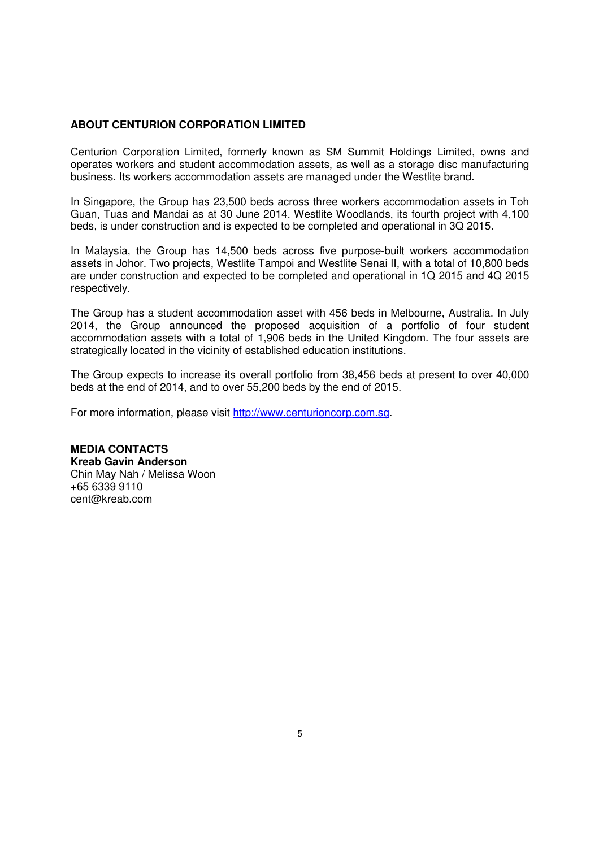#### **ABOUT CENTURION CORPORATION LIMITED**

Centurion Corporation Limited, formerly known as SM Summit Holdings Limited, owns and operates workers and student accommodation assets, as well as a storage disc manufacturing business. Its workers accommodation assets are managed under the Westlite brand.

In Singapore, the Group has 23,500 beds across three workers accommodation assets in Toh Guan, Tuas and Mandai as at 30 June 2014. Westlite Woodlands, its fourth project with 4,100 beds, is under construction and is expected to be completed and operational in 3Q 2015.

In Malaysia, the Group has 14,500 beds across five purpose-built workers accommodation assets in Johor. Two projects, Westlite Tampoi and Westlite Senai II, with a total of 10,800 beds are under construction and expected to be completed and operational in 1Q 2015 and 4Q 2015 respectively.

The Group has a student accommodation asset with 456 beds in Melbourne, Australia. In July 2014, the Group announced the proposed acquisition of a portfolio of four student accommodation assets with a total of 1,906 beds in the United Kingdom. The four assets are strategically located in the vicinity of established education institutions.

The Group expects to increase its overall portfolio from 38,456 beds at present to over 40,000 beds at the end of 2014, and to over 55,200 beds by the end of 2015.

For more information, please visit http://www.centurioncorp.com.sg.

**MEDIA CONTACTS Kreab Gavin Anderson**  Chin May Nah / Melissa Woon +65 6339 9110 cent@kreab.com